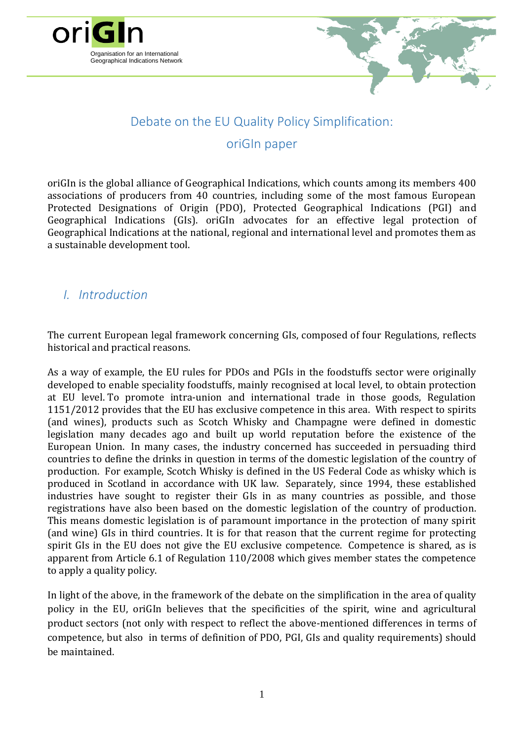



# Debate on the EU Quality Policy Simplification:

#### oriGIn paper

oriGIn is the global alliance of Geographical Indications, which counts among its members 400 associations of producers from 40 countries, including some of the most famous European Protected Designations of Origin (PDO), Protected Geographical Indications (PGI) and Geographical Indications (GIs). oriGIn advocates for an effective legal protection of Geographical Indications at the national, regional and international level and promotes them as a sustainable development tool.

#### *I. Introduction*

The current European legal framework concerning GIs, composed of four Regulations, reflects historical and practical reasons.

As a way of example, the EU rules for PDOs and PGIs in the foodstuffs sector were originally developed to enable speciality foodstuffs, mainly recognised at local level, to obtain protection at EU level. To promote intra-union and international trade in those goods, Regulation 1151/2012 provides that the EU has exclusive competence in this area. With respect to spirits (and wines), products such as Scotch Whisky and Champagne were defined in domestic legislation many decades ago and built up world reputation before the existence of the European Union. In many cases, the industry concerned has succeeded in persuading third countries to define the drinks in question in terms of the domestic legislation of the country of production. For example, Scotch Whisky is defined in the US Federal Code as whisky which is produced in Scotland in accordance with UK law. Separately, since 1994, these established industries have sought to register their GIs in as many countries as possible, and those registrations have also been based on the domestic legislation of the country of production. This means domestic legislation is of paramount importance in the protection of many spirit (and wine) GIs in third countries. It is for that reason that the current regime for protecting spirit GIs in the EU does not give the EU exclusive competence. Competence is shared, as is apparent from Article 6.1 of Regulation 110/2008 which gives member states the competence to apply a quality policy.

In light of the above, in the framework of the debate on the simplification in the area of quality policy in the EU, oriGIn believes that the specificities of the spirit, wine and agricultural product sectors (not only with respect to reflect the above-mentioned differences in terms of competence, but also in terms of definition of PDO, PGI, GIs and quality requirements) should be maintained.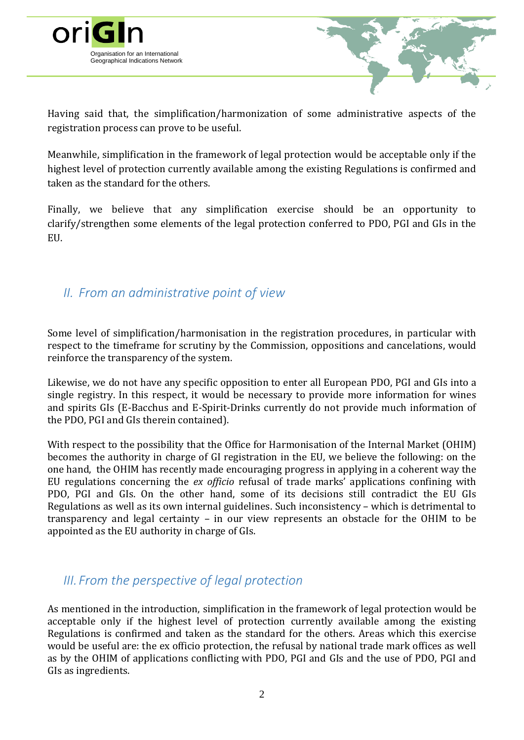

Having said that, the simplification/harmonization of some administrative aspects of the registration process can prove to be useful.

Meanwhile, simplification in the framework of legal protection would be acceptable only if the highest level of protection currently available among the existing Regulations is confirmed and taken as the standard for the others.

Finally, we believe that any simplification exercise should be an opportunity to clarify/strengthen some elements of the legal protection conferred to PDO, PGI and GIs in the EU.

## *II. From an administrative point of view*

Some level of simplification/harmonisation in the registration procedures, in particular with respect to the timeframe for scrutiny by the Commission, oppositions and cancelations, would reinforce the transparency of the system.

Likewise, we do not have any specific opposition to enter all European PDO, PGI and GIs into a single registry. In this respect, it would be necessary to provide more information for wines and spirits GIs (E-Bacchus and E-Spirit-Drinks currently do not provide much information of the PDO, PGI and GIs therein contained).

With respect to the possibility that the Office for Harmonisation of the Internal Market (OHIM) becomes the authority in charge of GI registration in the EU, we believe the following: on the one hand, the OHIM has recently made encouraging progress in applying in a coherent way the EU regulations concerning the *ex officio* refusal of trade marks' applications confining with PDO, PGI and GIs. On the other hand, some of its decisions still contradict the EU GIs Regulations as well as its own internal guidelines. Such inconsistency – which is detrimental to transparency and legal certainty – in our view represents an obstacle for the OHIM to be appointed as the EU authority in charge of GIs.

# *III. From the perspective of legal protection*

As mentioned in the introduction, simplification in the framework of legal protection would be acceptable only if the highest level of protection currently available among the existing Regulations is confirmed and taken as the standard for the others. Areas which this exercise would be useful are: the ex officio protection, the refusal by national trade mark offices as well as by the OHIM of applications conflicting with PDO, PGI and GIs and the use of PDO, PGI and GIs as ingredients.